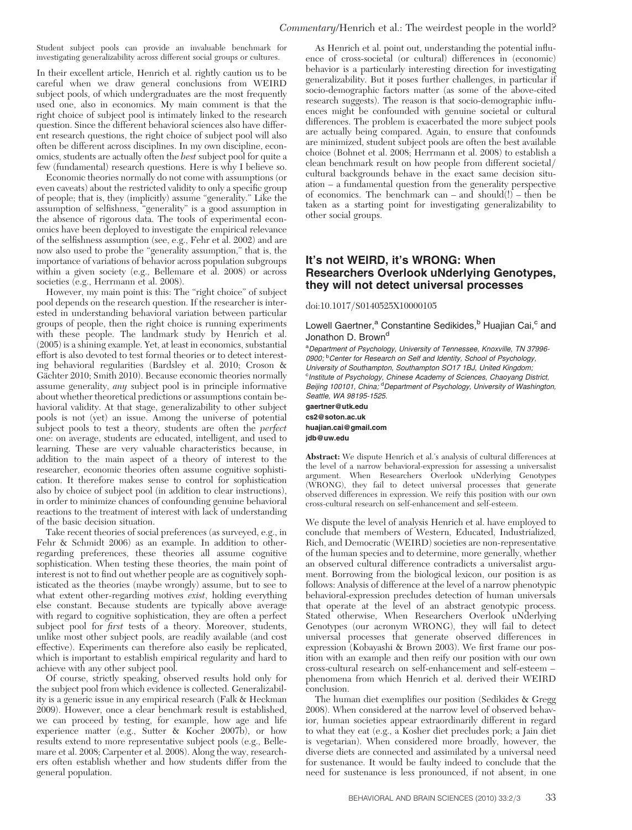Student subject pools can provide an invaluable benchmark for investigating generalizability across different social groups or cultures.

In their excellent article, Henrich et al. rightly caution us to be careful when we draw general conclusions from WEIRD subject pools, of which undergraduates are the most frequently used one, also in economics. My main comment is that the right choice of subject pool is intimately linked to the research question. Since the different behavioral sciences also have different research questions, the right choice of subject pool will also often be different across disciplines. In my own discipline, economics, students are actually often the best subject pool for quite a few (fundamental) research questions. Here is why I believe so.

Economic theories normally do not come with assumptions (or even caveats) about the restricted validity to only a specific group of people; that is, they (implicitly) assume "generality." Like the assumption of selfishness, "generality" is a good assumption in the absence of rigorous data. The tools of experimental economics have been deployed to investigate the empirical relevance of the selfishness assumption (see, e.g., Fehr et al. 2002) and are now also used to probe the "generality assumption," that is, the importance of variations of behavior across population subgroups within a given society (e.g., Bellemare et al. 2008) or across societies (e.g., Herrmann et al. 2008).

However, my main point is this: The "right choice" of subject pool depends on the research question. If the researcher is interested in understanding behavioral variation between particular groups of people, then the right choice is running experiments with these people. The landmark study by Henrich et al. (2005) is a shining example. Yet, at least in economics, substantial effort is also devoted to test formal theories or to detect interesting behavioral regularities (Bardsley et al. 2010; Croson & Gächter 2010; Smith 2010). Because economic theories normally assume generality, any subject pool is in principle informative about whether theoretical predictions or assumptions contain behavioral validity. At that stage, generalizability to other subject pools is not (yet) an issue. Among the universe of potential subject pools to test a theory, students are often the *perfect* one: on average, students are educated, intelligent, and used to learning. These are very valuable characteristics because, in addition to the main aspect of a theory of interest to the researcher, economic theories often assume cognitive sophistication. It therefore makes sense to control for sophistication also by choice of subject pool (in addition to clear instructions), in order to minimize chances of confounding genuine behavioral reactions to the treatment of interest with lack of understanding of the basic decision situation.

Take recent theories of social preferences (as surveyed, e.g., in Fehr & Schmidt 2006) as an example. In addition to otherregarding preferences, these theories all assume cognitive sophistication. When testing these theories, the main point of interest is not to find out whether people are as cognitively sophisticated as the theories (maybe wrongly) assume, but to see to what extent other-regarding motives exist, holding everything else constant. Because students are typically above average with regard to cognitive sophistication, they are often a perfect subject pool for first tests of a theory. Moreover, students, unlike most other subject pools, are readily available (and cost effective). Experiments can therefore also easily be replicated, which is important to establish empirical regularity and hard to achieve with any other subject pool.

Of course, strictly speaking, observed results hold only for the subject pool from which evidence is collected. Generalizability is a generic issue in any empirical research (Falk & Heckman 2009). However, once a clear benchmark result is established, we can proceed by testing, for example, how age and life experience matter (e.g., Sutter & Kocher 2007b), or how results extend to more representative subject pools (e.g., Bellemare et al. 2008; Carpenter et al. 2008). Along the way, researchers often establish whether and how students differ from the general population.

As Henrich et al. point out, understanding the potential influence of cross-societal (or cultural) differences in (economic) behavior is a particularly interesting direction for investigating generalizability. But it poses further challenges, in particular if socio-demographic factors matter (as some of the above-cited research suggests). The reason is that socio-demographic influences might be confounded with genuine societal or cultural differences. The problem is exacerbated the more subject pools are actually being compared. Again, to ensure that confounds are minimized, student subject pools are often the best available choice (Bohnet et al. 2008; Herrmann et al. 2008) to establish a clean benchmark result on how people from different societal/ cultural backgrounds behave in the exact same decision situation – a fundamental question from the generality perspective of economics. The benchmark can – and should $(!)$  – then be taken as a starting point for investigating generalizability to other social groups.

## It's not WEIRD, it's WRONG: When Researchers Overlook uNderlying Genotypes, they will not detect universal processes

## doi:10.1017/S0140525X10000105

Lowell Gaertner,<sup>a</sup> Constantine Sedikides,<sup>b</sup> Huajian Cai,<sup>c</sup> and Jonathon D. Brown<sup>d</sup>

<sup>a</sup>Department of Psychology, University of Tennessee, Knoxville, TN 37996-0900; <sup>b</sup> Center for Research on Self and Identity, School of Psychology, University of Southampton, Southampton SO17 1BJ, United Kingdom; <sup>c</sup>Institute of Psychology, Chinese Academy of Sciences, Chaoyang District,<br>Beijing 100101, China; <sup>d</sup>Department of Psychology, University of Washington, Seattle, WA 98195-1525.

gaertner@utk.edu cs2@soton.ac.uk huajian.cai@gmail.com jdb@uw.edu

Abstract: We dispute Henrich et al.'s analysis of cultural differences at the level of a narrow behavioral-expression for assessing a universalist argument. When Researchers Overlook uNderlying Genotypes (WRONG), they fail to detect universal processes that generate observed differences in expression. We reify this position with our own cross-cultural research on self-enhancement and self-esteem.

We dispute the level of analysis Henrich et al. have employed to conclude that members of Western, Educated, Industrialized, Rich, and Democratic (WEIRD) societies are non-representative of the human species and to determine, more generally, whether an observed cultural difference contradicts a universalist argument. Borrowing from the biological lexicon, our position is as follows: Analysis of difference at the level of a narrow phenotypic behavioral-expression precludes detection of human universals that operate at the level of an abstract genotypic process. Stated otherwise, When Researchers Overlook uNderlying Genotypes (our acronym WRONG), they will fail to detect universal processes that generate observed differences in expression (Kobayashi & Brown 2003). We first frame our position with an example and then reify our position with our own cross-cultural research on self-enhancement and self-esteem – phenomena from which Henrich et al. derived their WEIRD conclusion.

The human diet exemplifies our position (Sedikides & Gregg 2008). When considered at the narrow level of observed behavior, human societies appear extraordinarily different in regard to what they eat (e.g., a Kosher diet precludes pork; a Jain diet is vegetarian). When considered more broadly, however, the diverse diets are connected and assimilated by a universal need for sustenance. It would be faulty indeed to conclude that the need for sustenance is less pronounced, if not absent, in one